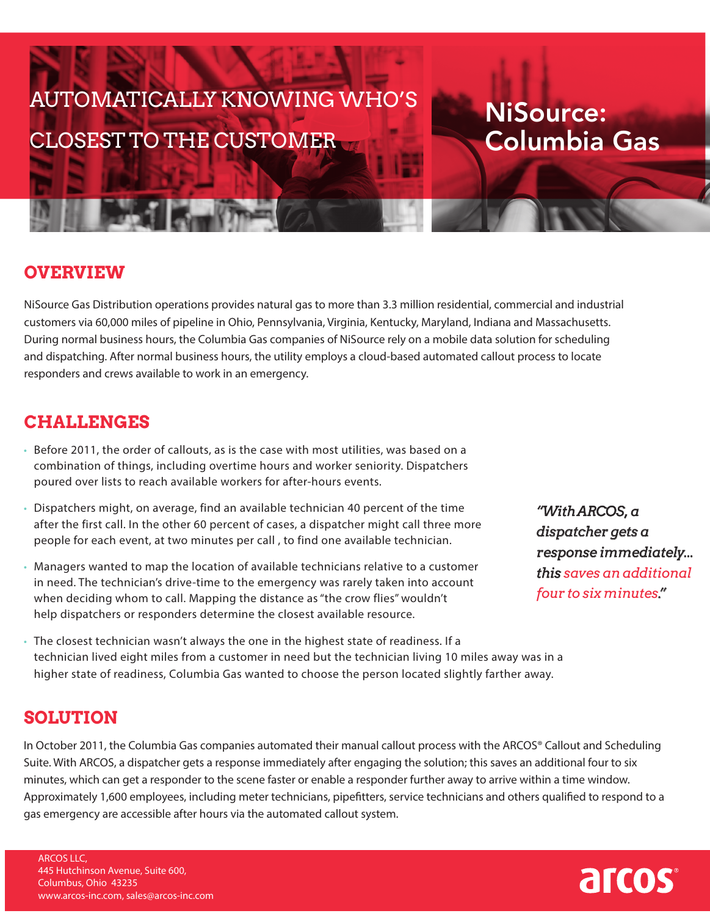# AUTOMATICALLY KNOWING WHO'S CLOSEST TO THE CUSTOMER

# NiSource: Columbia Gas

## **OVERVIEW**

NiSource Gas Distribution operations provides natural gas to more than 3.3 million residential, commercial and industrial customers via 60,000 miles of pipeline in Ohio, Pennsylvania, Virginia, Kentucky, Maryland, Indiana and Massachusetts. During normal business hours, the Columbia Gas companies of NiSource rely on a mobile data solution for scheduling and dispatching. After normal business hours, the utility employs a cloud-based automated callout process to locate responders and crews available to work in an emergency.

### **CHALLENGES**

- Before 2011, the order of callouts, as is the case with most utilities, was based on a combination of things, including overtime hours and worker seniority. Dispatchers poured over lists to reach available workers for after-hours events.
- Dispatchers might, on average, find an available technician 40 percent of the time after the first call. In the other 60 percent of cases, a dispatcher might call three more people for each event, at two minutes per call , to find one available technician.
- Managers wanted to map the location of available technicians relative to a customer in need. The technician's drive-time to the emergency was rarely taken into account when deciding whom to call. Mapping the distance as "the crow flies" wouldn't help dispatchers or responders determine the closest available resource.
- *"With ARCOS, a dispatcher gets a response immediately... this saves an additional four to six minutes."*
- The closest technician wasn't always the one in the highest state of readiness. If a technician lived eight miles from a customer in need but the technician living 10 miles away was in a higher state of readiness, Columbia Gas wanted to choose the person located slightly farther away.

#### **SOLUTION**

In October 2011, the Columbia Gas companies automated their manual callout process with the ARCOS® Callout and Scheduling Suite. With ARCOS, a dispatcher gets a response immediately after engaging the solution; this saves an additional four to six minutes, which can get a responder to the scene faster or enable a responder further away to arrive within a time window. Approximately 1,600 employees, including meter technicians, pipefitters, service technicians and others qualified to respond to a gas emergency are accessible after hours via the automated callout system.

ARCOS LLC, 445 Hutchinson Avenue, Suite 600, Columbus, Ohio 43235 www.arcos-inc.com, sales@arcos-inc.com